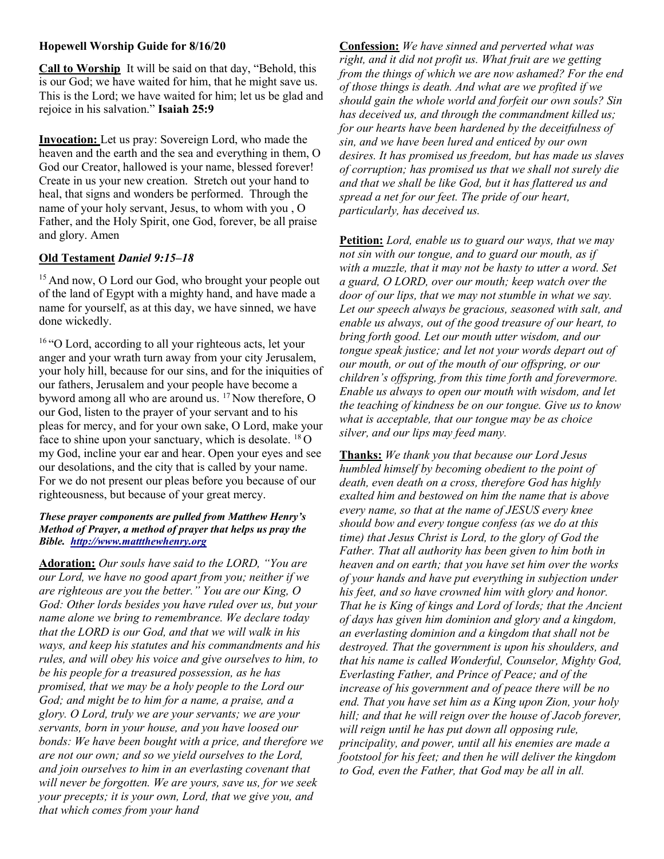# Hopewell Worship Guide for 8/16/20

Call to Worship It will be said on that day, "Behold, this is our God; we have waited for him, that he might save us. This is the Lord; we have waited for him; let us be glad and rejoice in his salvation." Isaiah 25:9

Invocation: Let us pray: Sovereign Lord, who made the heaven and the earth and the sea and everything in them, O God our Creator, hallowed is your name, blessed forever! Create in us your new creation. Stretch out your hand to heal, that signs and wonders be performed. Through the name of your holy servant, Jesus, to whom with you , O Father, and the Holy Spirit, one God, forever, be all praise and glory. Amen

#### Old Testament Daniel 9:15–18

<sup>15</sup> And now, O Lord our God, who brought your people out of the land of Egypt with a mighty hand, and have made a name for yourself, as at this day, we have sinned, we have done wickedly.

<sup>16</sup> "O Lord, according to all your righteous acts, let your anger and your wrath turn away from your city Jerusalem, your holy hill, because for our sins, and for the iniquities of our fathers, Jerusalem and your people have become a byword among all who are around us.  $17$  Now therefore, O our God, listen to the prayer of your servant and to his pleas for mercy, and for your own sake, O Lord, make your face to shine upon your sanctuary, which is desolate.  $^{18}$ O my God, incline your ear and hear. Open your eyes and see our desolations, and the city that is called by your name. For we do not present our pleas before you because of our righteousness, but because of your great mercy.

#### These prayer components are pulled from Matthew Henry's Method of Prayer, a method of prayer that helps us pray the Bible. http://www.mattthewhenry.org

Adoration: Our souls have said to the LORD, "You are our Lord, we have no good apart from you; neither if we are righteous are you the better." You are our King, O God: Other lords besides you have ruled over us, but your name alone we bring to remembrance. We declare today that the LORD is our God, and that we will walk in his ways, and keep his statutes and his commandments and his rules, and will obey his voice and give ourselves to him, to be his people for a treasured possession, as he has promised, that we may be a holy people to the Lord our God; and might be to him for a name, a praise, and a glory. O Lord, truly we are your servants; we are your servants, born in your house, and you have loosed our bonds: We have been bought with a price, and therefore we are not our own; and so we yield ourselves to the Lord, and join ourselves to him in an everlasting covenant that will never be forgotten. We are yours, save us, for we seek your precepts; it is your own, Lord, that we give you, and that which comes from your hand

Confession: We have sinned and perverted what was right, and it did not profit us. What fruit are we getting from the things of which we are now ashamed? For the end of those things is death. And what are we profited if we should gain the whole world and forfeit our own souls? Sin has deceived us, and through the commandment killed us; for our hearts have been hardened by the deceitfulness of sin, and we have been lured and enticed by our own desires. It has promised us freedom, but has made us slaves of corruption; has promised us that we shall not surely die and that we shall be like God, but it has flattered us and spread a net for our feet. The pride of our heart, particularly, has deceived us.

Petition: Lord, enable us to guard our ways, that we may not sin with our tongue, and to guard our mouth, as if with a muzzle, that it may not be hasty to utter a word. Set a guard, O LORD, over our mouth; keep watch over the door of our lips, that we may not stumble in what we say. Let our speech always be gracious, seasoned with salt, and enable us always, out of the good treasure of our heart, to bring forth good. Let our mouth utter wisdom, and our tongue speak justice; and let not your words depart out of our mouth, or out of the mouth of our offspring, or our children's offspring, from this time forth and forevermore. Enable us always to open our mouth with wisdom, and let the teaching of kindness be on our tongue. Give us to know what is acceptable, that our tongue may be as choice silver, and our lips may feed many.

Thanks: We thank you that because our Lord Jesus humbled himself by becoming obedient to the point of death, even death on a cross, therefore God has highly exalted him and bestowed on him the name that is above every name, so that at the name of JESUS every knee should bow and every tongue confess (as we do at this time) that Jesus Christ is Lord, to the glory of God the Father. That all authority has been given to him both in heaven and on earth; that you have set him over the works of your hands and have put everything in subjection under his feet, and so have crowned him with glory and honor. That he is King of kings and Lord of lords; that the Ancient of days has given him dominion and glory and a kingdom, an everlasting dominion and a kingdom that shall not be destroyed. That the government is upon his shoulders, and that his name is called Wonderful, Counselor, Mighty God, Everlasting Father, and Prince of Peace; and of the increase of his government and of peace there will be no end. That you have set him as a King upon Zion, your holy hill; and that he will reign over the house of Jacob forever, will reign until he has put down all opposing rule, principality, and power, until all his enemies are made a footstool for his feet; and then he will deliver the kingdom to God, even the Father, that God may be all in all.